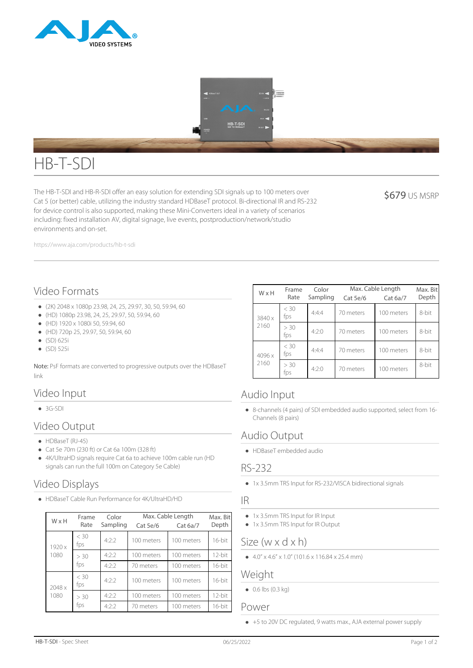



# HB-T-SDI

The HB-T-SDI and HB-R-SDI offer an easy solution for extending SDI signals up to 100 meters over Cat 5 (or better) cable, utilizing the industry standard HDBaseT protocol. Bi-directional IR and RS-232 for device control is also supported, making these Mini-Converters ideal in a variety of scenarios including: fixed installation AV, digital signage, live events, postproduction/network/studio environments and on-set.

**\$679 US MSRP** 

https://www.aja.com/products/hb-t-sdi

# Video Formats

- (2K) 2048 x 1080p 23.98, 24, 25, 29.97, 30, 50, 59.94, 60
- (HD) 1080p 23.98, 24, 25, 29.97, 50, 59.94, 60
- $\bullet$  (HD) 1920 x 1080i 50, 59,94, 60
- (HD) 720p 25, 29.97, 50, 59.94, 60
- (SD) 625i
- (SD) 525i

Note: PsF formats are converted to progressive outputs over the HDBaseT link

# Video Input

 $-3G-SDI$ 

# Video Output

- $\bullet$  HDBaseT (RJ-45)
- Cat 5e 70m (230 ft) or Cat 6a 100m (328 ft)
- 4K/UltraHD signals require Cat 6a to achieve 100m cable run (HD signals can run the full 100m on Category 5e Cable)

# Video Displays

HDBaseT Cable Run Performance for 4K/UltraHD/HD

| W x H          | Frame<br>Rate | Color<br>Sampling | Cat 5e/6   | Max. Cable Length<br>Cat 6a/7 | Max. Bit<br>Depth |
|----------------|---------------|-------------------|------------|-------------------------------|-------------------|
| 1920x<br>1080  | < 30<br>fps   | 4:2:2             | 100 meters | 100 meters                    | 16-bit            |
|                | > 30<br>fps   | 4:2:2             | 100 meters | 100 meters                    | 12-bit            |
|                |               | 4:2:2             | 70 meters  | 100 meters                    | 16-bit            |
| 2048 x<br>1080 | $<$ 30<br>fps | 4:2:2             | 100 meters | 100 meters                    | 16-bit            |
|                | > 30<br>fps   | 4:2:2             | 100 meters | 100 meters                    | 12-bit            |
|                |               | 4:2:2             | 70 meters  | 100 meters                    | 16-bit            |

| WxH            | Frame       | Color    | Max. Cable Length |            | Max. Bit |
|----------------|-------------|----------|-------------------|------------|----------|
|                | Rate        | Sampling | Cat 5e/6          | Cat 6a/7   | Depth    |
| 3840 x<br>2160 | < 30<br>fps | 4:4:4    | 70 meters         | 100 meters | 8-bit    |
|                | > 30<br>fps | 4:2:0    | 70 meters         | 100 meters | 8-bit    |
| 4096 x<br>2160 | < 30<br>fps | 4:4:4    | 70 meters         | 100 meters | 8-bit    |
|                | > 30<br>tps | 4:2:0    | 70 meters         | 100 meters | 8-bit    |

## Audio Input

8-channels (4 pairs) of SDI embedded audio supported, select from 16- Channels (8 pairs)

# Audio Output

HDBaseT embedded audio

## RS-232

1x 3.5mm TRS Input for RS-232/VISCA bidirectional signals

#### IR

- 1x 3.5mm TRS Input for IR Input
- 1x 3.5mm TRS Input for IR Output

## Size (w x d x h)

 $\bullet$  4.0" x 4.6" x 1.0" (101.6 x 116.84 x 25.4 mm)

#### Weight

 $\bullet$  0.6 lbs (0.3 kg)

#### Power

+5 to 20V DC regulated, 9 watts max., AJA external power supply